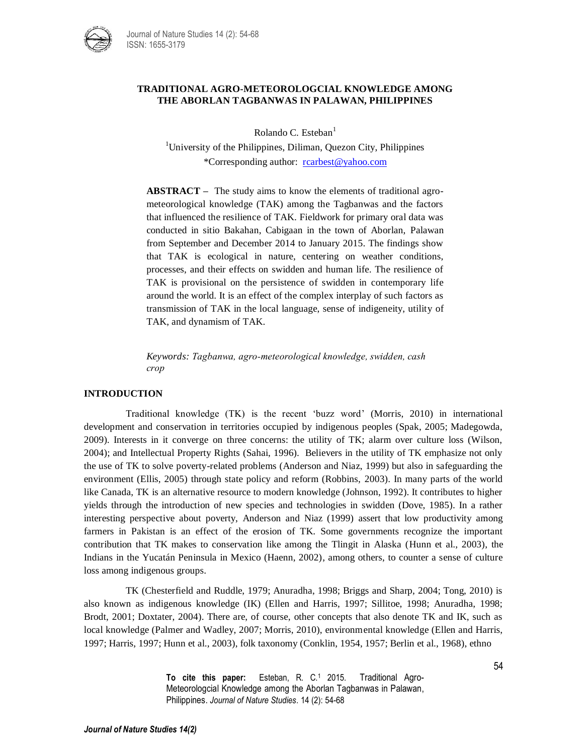

## **TRADITIONAL AGRO-METEOROLOGCIAL KNOWLEDGE AMONG THE ABORLAN TAGBANWAS IN PALAWAN, PHILIPPINES**

Rolando C. Esteban $<sup>1</sup>$ </sup>

<sup>1</sup>University of the Philippines, Diliman, Quezon City, Philippines \*Corresponding author: [rcarbest@yahoo.com](mailto:rcarbest@yahoo.com)

**ABSTRACT –** The study aims to know the elements of traditional agrometeorological knowledge (TAK) among the Tagbanwas and the factors that influenced the resilience of TAK. Fieldwork for primary oral data was conducted in sitio Bakahan, Cabigaan in the town of Aborlan, Palawan from September and December 2014 to January 2015. The findings show that TAK is ecological in nature, centering on weather conditions, processes, and their effects on swidden and human life. The resilience of TAK is provisional on the persistence of swidden in contemporary life around the world. It is an effect of the complex interplay of such factors as transmission of TAK in the local language, sense of indigeneity, utility of TAK, and dynamism of TAK.

*Keywords: Tagbanwa, agro-meteorological knowledge, swidden, cash crop*

## **INTRODUCTION**

Traditional knowledge (TK) is the recent 'buzz word' (Morris, 2010) in international development and conservation in territories occupied by indigenous peoples (Spak, 2005; Madegowda, 2009). Interests in it converge on three concerns: the utility of TK; alarm over culture loss (Wilson, 2004); and Intellectual Property Rights (Sahai, 1996). Believers in the utility of TK emphasize not only the use of TK to solve poverty-related problems (Anderson and Niaz, 1999) but also in safeguarding the environment (Ellis, 2005) through state policy and reform (Robbins, 2003). In many parts of the world like Canada, TK is an alternative resource to modern knowledge (Johnson, 1992). It contributes to higher yields through the introduction of new species and technologies in swidden (Dove, 1985). In a rather interesting perspective about poverty, Anderson and Niaz (1999) assert that low productivity among farmers in Pakistan is an effect of the erosion of TK. Some governments recognize the important contribution that TK makes to conservation like among the Tlingit in Alaska (Hunn et al., 2003), the Indians in the Yucatán Peninsula in Mexico (Haenn, 2002), among others, to counter a sense of culture loss among indigenous groups.

TK (Chesterfield and Ruddle, 1979; Anuradha, 1998; Briggs and Sharp, 2004; Tong, 2010) is also known as indigenous knowledge (IK) (Ellen and Harris, 1997; Sillitoe, 1998; Anuradha, 1998; Brodt, 2001; Doxtater, 2004). There are, of course, other concepts that also denote TK and IK, such as local knowledge (Palmer and Wadley, 2007; Morris, 2010), environmental knowledge (Ellen and Harris, 1997; Harris, 1997; Hunn et al., 2003), folk taxonomy (Conklin, 1954, 1957; Berlin et al., 1968), ethno

> **To cite this paper:** Esteban, R. C.<sup>1</sup> 2015. Traditional Agro-Meteorologcial Knowledge among the Aborlan Tagbanwas in Palawan, Philippines. *Journal of Nature Studies*. 14 (2): 54-68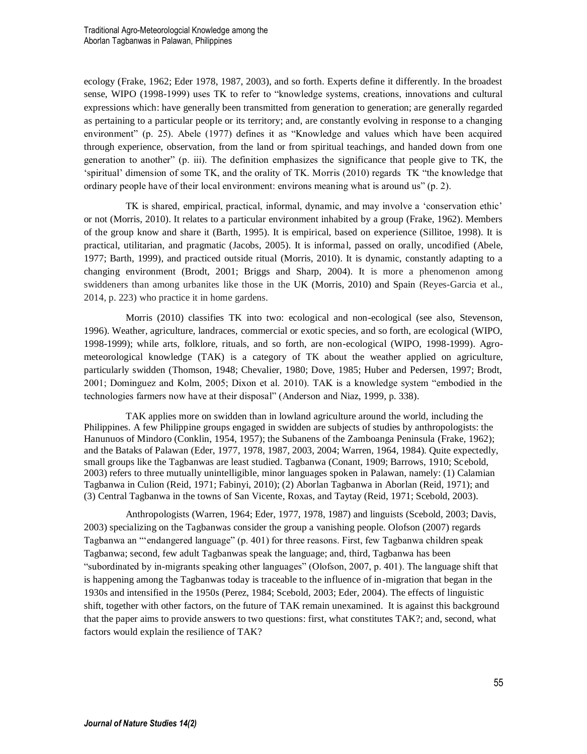ecology (Frake, 1962; Eder 1978, 1987, 2003), and so forth. Experts define it differently. In the broadest sense, WIPO (1998-1999) uses TK to refer to "knowledge systems, creations, innovations and cultural expressions which: have generally been transmitted from generation to generation; are generally regarded as pertaining to a particular people or its territory; and, are constantly evolving in response to a changing environment" (p. 25). Abele (1977) defines it as "Knowledge and values which have been acquired through experience, observation, from the land or from spiritual teachings, and handed down from one generation to another" (p. iii). The definition emphasizes the significance that people give to TK, the 'spiritual' dimension of some TK, and the orality of TK. Morris (2010) regards TK "the knowledge that ordinary people have of their local environment: environs meaning what is around us" (p. 2).

TK is shared, empirical, practical, informal, dynamic, and may involve a 'conservation ethic' or not (Morris, 2010). It relates to a particular environment inhabited by a group (Frake, 1962). Members of the group know and share it (Barth, 1995). It is empirical, based on experience (Sillitoe, 1998). It is practical, utilitarian, and pragmatic (Jacobs, 2005). It is informal, passed on orally, uncodified (Abele, 1977; Barth, 1999), and practiced outside ritual (Morris, 2010). It is dynamic, constantly adapting to a changing environment (Brodt, 2001; Briggs and Sharp, 2004). It is more a phenomenon among swiddeners than among urbanites like those in the UK (Morris, 2010) and Spain (Reyes-Garcia et al., 2014, p. 223) who practice it in home gardens.

Morris (2010) classifies TK into two: ecological and non-ecological (see also, Stevenson, 1996). Weather, agriculture, landraces, commercial or exotic species, and so forth, are ecological (WIPO, 1998-1999); while arts, folklore, rituals, and so forth, are non-ecological (WIPO, 1998-1999). Agrometeorological knowledge (TAK) is a category of TK about the weather applied on agriculture, particularly swidden (Thomson, 1948; Chevalier, 1980; Dove, 1985; Huber and Pedersen, 1997; Brodt, 2001; Dominguez and Kolm, 2005; Dixon et al. 2010). TAK is a knowledge system "embodied in the technologies farmers now have at their disposal" (Anderson and Niaz, 1999, p. 338).

TAK applies more on swidden than in lowland agriculture around the world, including the Philippines. A few Philippine groups engaged in swidden are subjects of studies by anthropologists: the Hanunuos of Mindoro (Conklin, 1954, 1957); the Subanens of the Zamboanga Peninsula (Frake, 1962); and the Bataks of Palawan (Eder, 1977, 1978, 1987, 2003, 2004; Warren, 1964, 1984). Quite expectedly, small groups like the Tagbanwas are least studied. Tagbanwa (Conant, 1909; Barrows, 1910; Scebold, 2003) refers to three mutually unintelligible, minor languages spoken in Palawan, namely: (1) Calamian Tagbanwa in Culion (Reid, 1971; Fabinyi, 2010); (2) Aborlan Tagbanwa in Aborlan (Reid, 1971); and (3) Central Tagbanwa in the towns of San Vicente, Roxas, and Taytay (Reid, 1971; Scebold, 2003).

Anthropologists (Warren, 1964; Eder, 1977, 1978, 1987) and linguists (Scebold, 2003; Davis, 2003) specializing on the Tagbanwas consider the group a vanishing people. Olofson (2007) regards Tagbanwa an "'endangered language" (p. 401) for three reasons. First, few Tagbanwa children speak Tagbanwa; second, few adult Tagbanwas speak the language; and, third, Tagbanwa has been "subordinated by in-migrants speaking other languages" (Olofson, 2007, p. 401). The language shift that is happening among the Tagbanwas today is traceable to the influence of in-migration that began in the 1930s and intensified in the 1950s (Perez, 1984; Scebold, 2003; Eder, 2004). The effects of linguistic shift, together with other factors, on the future of TAK remain unexamined. It is against this background that the paper aims to provide answers to two questions: first, what constitutes TAK?; and, second, what factors would explain the resilience of TAK?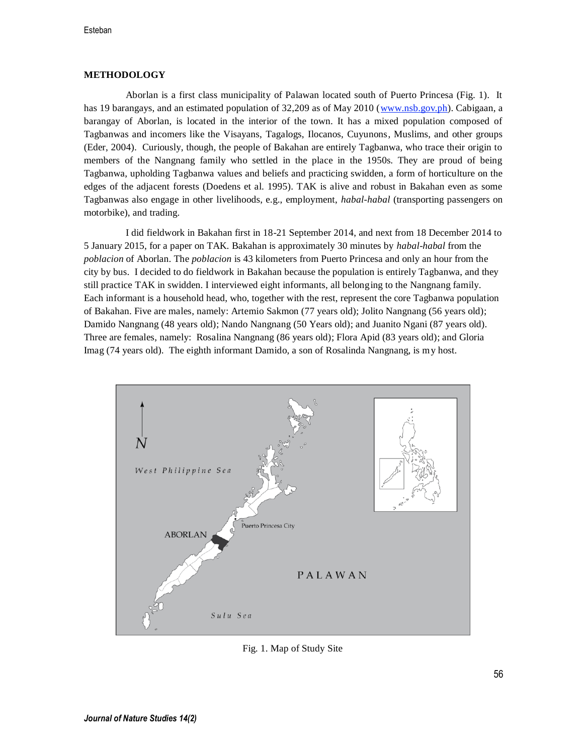# **METHODOLOGY**

Aborlan is a first class municipality of Palawan located south of Puerto Princesa (Fig. 1). It has 19 barangays, and an estimated population of 32,209 as of May 2010 [\(www.nsb.gov.ph\)](http://www.nsb.gov.ph/). Cabigaan, a barangay of Aborlan, is located in the interior of the town. It has a mixed population composed of Tagbanwas and incomers like the Visayans, Tagalogs, Ilocanos, Cuyunons, Muslims, and other groups (Eder, 2004). Curiously, though, the people of Bakahan are entirely Tagbanwa, who trace their origin to members of the Nangnang family who settled in the place in the 1950s. They are proud of being Tagbanwa, upholding Tagbanwa values and beliefs and practicing swidden, a form of horticulture on the edges of the adjacent forests (Doedens et al. 1995). TAK is alive and robust in Bakahan even as some Tagbanwas also engage in other livelihoods, e.g., employment, *habal-habal* (transporting passengers on motorbike), and trading.

I did fieldwork in Bakahan first in 18-21 September 2014, and next from 18 December 2014 to 5 January 2015, for a paper on TAK. Bakahan is approximately 30 minutes by *habal-habal* from the *poblacion* of Aborlan. The *poblacion* is 43 kilometers from Puerto Princesa and only an hour from the city by bus. I decided to do fieldwork in Bakahan because the population is entirely Tagbanwa, and they still practice TAK in swidden. I interviewed eight informants, all belonging to the Nangnang family. Each informant is a household head, who, together with the rest, represent the core Tagbanwa population of Bakahan. Five are males, namely: Artemio Sakmon (77 years old); Jolito Nangnang (56 years old); Damido Nangnang (48 years old); Nando Nangnang (50 Years old); and Juanito Ngani (87 years old). Three are females, namely: Rosalina Nangnang (86 years old); Flora Apid (83 years old); and Gloria Imag (74 years old). The eighth informant Damido, a son of Rosalinda Nangnang, is my host.



Fig. 1. Map of Study Site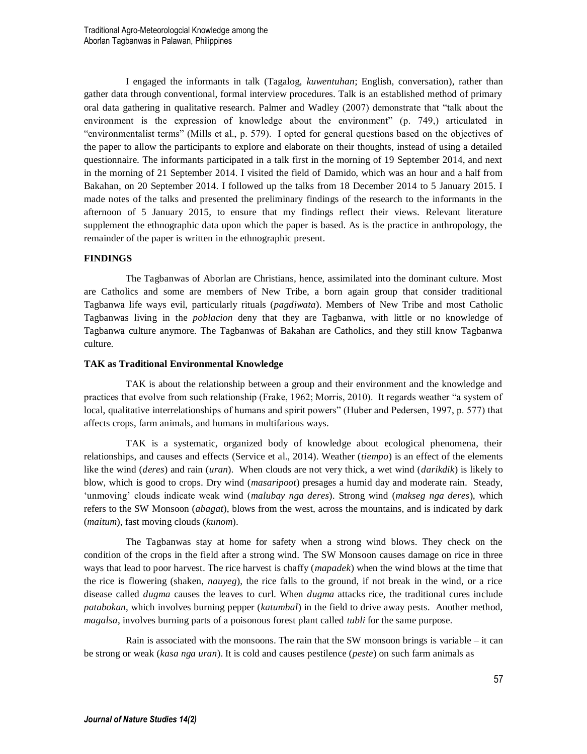I engaged the informants in talk (Tagalog, *kuwentuhan*; English, conversation), rather than gather data through conventional, formal interview procedures. Talk is an established method of primary oral data gathering in qualitative research. Palmer and Wadley (2007) demonstrate that "talk about the environment is the expression of knowledge about the environment" (p. 749,) articulated in "environmentalist terms" (Mills et al., p. 579). I opted for general questions based on the objectives of the paper to allow the participants to explore and elaborate on their thoughts, instead of using a detailed questionnaire. The informants participated in a talk first in the morning of 19 September 2014, and next in the morning of 21 September 2014. I visited the field of Damido, which was an hour and a half from Bakahan, on 20 September 2014. I followed up the talks from 18 December 2014 to 5 January 2015. I made notes of the talks and presented the preliminary findings of the research to the informants in the afternoon of 5 January 2015, to ensure that my findings reflect their views. Relevant literature supplement the ethnographic data upon which the paper is based. As is the practice in anthropology, the remainder of the paper is written in the ethnographic present.

## **FINDINGS**

The Tagbanwas of Aborlan are Christians, hence, assimilated into the dominant culture. Most are Catholics and some are members of New Tribe, a born again group that consider traditional Tagbanwa life ways evil, particularly rituals (*pagdiwata*). Members of New Tribe and most Catholic Tagbanwas living in the *poblacion* deny that they are Tagbanwa, with little or no knowledge of Tagbanwa culture anymore. The Tagbanwas of Bakahan are Catholics, and they still know Tagbanwa culture.

## **TAK as Traditional Environmental Knowledge**

TAK is about the relationship between a group and their environment and the knowledge and practices that evolve from such relationship (Frake, 1962; Morris, 2010). It regards weather "a system of local, qualitative interrelationships of humans and spirit powers" (Huber and Pedersen, 1997, p. 577) that affects crops, farm animals, and humans in multifarious ways.

TAK is a systematic, organized body of knowledge about ecological phenomena, their relationships, and causes and effects (Service et al., 2014). Weather (*tiempo*) is an effect of the elements like the wind (*deres*) and rain (*uran*). When clouds are not very thick, a wet wind (*darikdik*) is likely to blow, which is good to crops. Dry wind (*masaripoot*) presages a humid day and moderate rain. Steady, 'unmoving' clouds indicate weak wind (*malubay nga deres*). Strong wind (*makseg nga deres*), which refers to the SW Monsoon (*abagat*), blows from the west, across the mountains, and is indicated by dark (*maitum*), fast moving clouds (*kunom*).

The Tagbanwas stay at home for safety when a strong wind blows. They check on the condition of the crops in the field after a strong wind. The SW Monsoon causes damage on rice in three ways that lead to poor harvest. The rice harvest is chaffy (*mapadek*) when the wind blows at the time that the rice is flowering (shaken, *nauyeg*), the rice falls to the ground, if not break in the wind, or a rice disease called *dugma* causes the leaves to curl. When *dugma* attacks rice, the traditional cures include *patabokan*, which involves burning pepper (*katumbal*) in the field to drive away pests. Another method, *magalsa*, involves burning parts of a poisonous forest plant called *tubli* for the same purpose.

Rain is associated with the monsoons. The rain that the SW monsoon brings is variable – it can be strong or weak (*kasa nga uran*). It is cold and causes pestilence (*peste*) on such farm animals as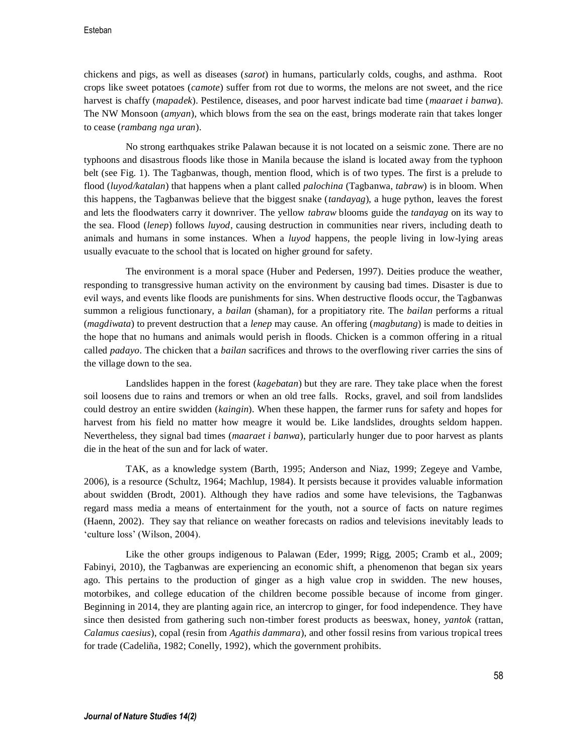chickens and pigs, as well as diseases (*sarot*) in humans, particularly colds, coughs, and asthma. Root crops like sweet potatoes (*camote*) suffer from rot due to worms, the melons are not sweet, and the rice harvest is chaffy (*mapadek*). Pestilence, diseases, and poor harvest indicate bad time (*maaraet i banwa*). The NW Monsoon (*amyan*), which blows from the sea on the east, brings moderate rain that takes longer to cease (*rambang nga uran*).

No strong earthquakes strike Palawan because it is not located on a seismic zone. There are no typhoons and disastrous floods like those in Manila because the island is located away from the typhoon belt (see Fig. 1). The Tagbanwas, though, mention flood, which is of two types. The first is a prelude to flood (*luyod/katalan*) that happens when a plant called *palochina* (Tagbanwa, *tabraw*) is in bloom. When this happens, the Tagbanwas believe that the biggest snake (*tandayag*), a huge python, leaves the forest and lets the floodwaters carry it downriver. The yellow *tabraw* blooms guide the *tandayag* on its way to the sea. Flood (*lenep*) follows *luyod*, causing destruction in communities near rivers, including death to animals and humans in some instances. When a *luyod* happens, the people living in low-lying areas usually evacuate to the school that is located on higher ground for safety.

The environment is a moral space (Huber and Pedersen, 1997). Deities produce the weather, responding to transgressive human activity on the environment by causing bad times. Disaster is due to evil ways, and events like floods are punishments for sins. When destructive floods occur, the Tagbanwas summon a religious functionary, a *bailan* (shaman), for a propitiatory rite. The *bailan* performs a ritual (*magdiwata*) to prevent destruction that a *lenep* may cause. An offering (*magbutang*) is made to deities in the hope that no humans and animals would perish in floods. Chicken is a common offering in a ritual called *padayo*. The chicken that a *bailan* sacrifices and throws to the overflowing river carries the sins of the village down to the sea.

Landslides happen in the forest (*kagebatan*) but they are rare. They take place when the forest soil loosens due to rains and tremors or when an old tree falls. Rocks, gravel, and soil from landslides could destroy an entire swidden (*kaingin*). When these happen, the farmer runs for safety and hopes for harvest from his field no matter how meagre it would be. Like landslides, droughts seldom happen. Nevertheless, they signal bad times (*maaraet i banwa*), particularly hunger due to poor harvest as plants die in the heat of the sun and for lack of water.

TAK, as a knowledge system (Barth, 1995; Anderson and Niaz, 1999; Zegeye and Vambe, 2006), is a resource (Schultz, 1964; Machlup, 1984). It persists because it provides valuable information about swidden (Brodt, 2001). Although they have radios and some have televisions, the Tagbanwas regard mass media a means of entertainment for the youth, not a source of facts on nature regimes (Haenn, 2002). They say that reliance on weather forecasts on radios and televisions inevitably leads to 'culture loss' (Wilson, 2004).

Like the other groups indigenous to Palawan (Eder, 1999; Rigg, 2005; Cramb et al., 2009; Fabinyi, 2010), the Tagbanwas are experiencing an economic shift, a phenomenon that began six years ago. This pertains to the production of ginger as a high value crop in swidden. The new houses, motorbikes, and college education of the children become possible because of income from ginger. Beginning in 2014, they are planting again rice, an intercrop to ginger, for food independence. They have since then desisted from gathering such non-timber forest products as beeswax, honey, *yantok* (rattan, *Calamus caesius*), copal (resin from *Agathis dammara*), and other fossil resins from various tropical trees for trade (Cadeliña, 1982; Conelly, 1992), which the government prohibits.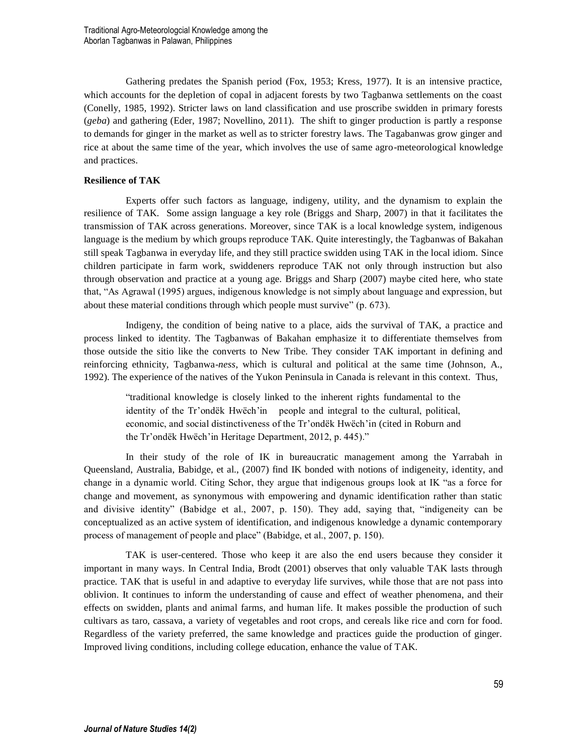Gathering predates the Spanish period (Fox, 1953; Kress, 1977). It is an intensive practice, which accounts for the depletion of copal in adjacent forests by two Tagbanwa settlements on the coast (Conelly, 1985, 1992). Stricter laws on land classification and use proscribe swidden in primary forests (*geba*) and gathering (Eder, 1987; Novellino, 2011). The shift to ginger production is partly a response to demands for ginger in the market as well as to stricter forestry laws. The Tagabanwas grow ginger and rice at about the same time of the year, which involves the use of same agro-meteorological knowledge and practices.

## **Resilience of TAK**

Experts offer such factors as language, indigeny, utility, and the dynamism to explain the resilience of TAK. Some assign language a key role (Briggs and Sharp, 2007) in that it facilitates the transmission of TAK across generations. Moreover, since TAK is a local knowledge system, indigenous language is the medium by which groups reproduce TAK. Quite interestingly, the Tagbanwas of Bakahan still speak Tagbanwa in everyday life, and they still practice swidden using TAK in the local idiom. Since children participate in farm work, swiddeners reproduce TAK not only through instruction but also through observation and practice at a young age. Briggs and Sharp (2007) maybe cited here, who state that, "As Agrawal (1995) argues, indigenous knowledge is not simply about language and expression, but about these material conditions through which people must survive" (p. 673).

Indigeny, the condition of being native to a place, aids the survival of TAK, a practice and process linked to identity. The Tagbanwas of Bakahan emphasize it to differentiate themselves from those outside the sitio like the converts to New Tribe. They consider TAK important in defining and reinforcing ethnicity, Tagbanwa-*ness*, which is cultural and political at the same time (Johnson, A., 1992). The experience of the natives of the Yukon Peninsula in Canada is relevant in this context. Thus,

"traditional knowledge is closely linked to the inherent rights fundamental to the identity of the Tr'ondëk Hwëch'in people and integral to the cultural, political, economic, and social distinctiveness of the Tr'ondëk Hwëch'in (cited in Roburn and the Tr'ondëk Hwëch'in Heritage Department, 2012, p. 445)."

In their study of the role of IK in bureaucratic management among the Yarrabah in Queensland, Australia, Babidge, et al., (2007) find IK bonded with notions of indigeneity, identity, and change in a dynamic world. Citing Schor, they argue that indigenous groups look at IK "as a force for change and movement, as synonymous with empowering and dynamic identification rather than static and divisive identity" (Babidge et al., 2007, p. 150). They add, saying that, "indigeneity can be conceptualized as an active system of identification, and indigenous knowledge a dynamic contemporary process of management of people and place" (Babidge, et al., 2007, p. 150).

TAK is user-centered. Those who keep it are also the end users because they consider it important in many ways. In Central India, Brodt (2001) observes that only valuable TAK lasts through practice. TAK that is useful in and adaptive to everyday life survives, while those that are not pass into oblivion. It continues to inform the understanding of cause and effect of weather phenomena, and their effects on swidden, plants and animal farms, and human life. It makes possible the production of such cultivars as taro, cassava, a variety of vegetables and root crops, and cereals like rice and corn for food. Regardless of the variety preferred, the same knowledge and practices guide the production of ginger. Improved living conditions, including college education, enhance the value of TAK.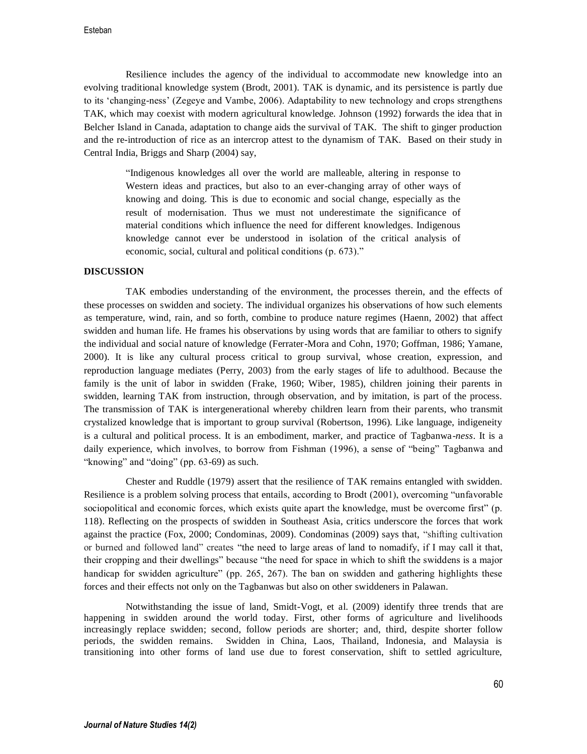Resilience includes the agency of the individual to accommodate new knowledge into an evolving traditional knowledge system (Brodt, 2001). TAK is dynamic, and its persistence is partly due to its 'changing-ness' (Zegeye and Vambe, 2006). Adaptability to new technology and crops strengthens TAK, which may coexist with modern agricultural knowledge. Johnson (1992) forwards the idea that in Belcher Island in Canada, adaptation to change aids the survival of TAK. The shift to ginger production and the re-introduction of rice as an intercrop attest to the dynamism of TAK. Based on their study in Central India, Briggs and Sharp (2004) say,

"Indigenous knowledges all over the world are malleable, altering in response to Western ideas and practices, but also to an ever-changing array of other ways of knowing and doing. This is due to economic and social change, especially as the result of modernisation. Thus we must not underestimate the significance of material conditions which influence the need for different knowledges. Indigenous knowledge cannot ever be understood in isolation of the critical analysis of economic, social, cultural and political conditions (p. 673)."

#### **DISCUSSION**

TAK embodies understanding of the environment, the processes therein, and the effects of these processes on swidden and society. The individual organizes his observations of how such elements as temperature, wind, rain, and so forth, combine to produce nature regimes (Haenn, 2002) that affect swidden and human life. He frames his observations by using words that are familiar to others to signify the individual and social nature of knowledge (Ferrater-Mora and Cohn, 1970; Goffman, 1986; Yamane, 2000). It is like any cultural process critical to group survival, whose creation, expression, and reproduction language mediates (Perry, 2003) from the early stages of life to adulthood. Because the family is the unit of labor in swidden (Frake, 1960; Wiber, 1985), children joining their parents in swidden, learning TAK from instruction, through observation, and by imitation, is part of the process. The transmission of TAK is intergenerational whereby children learn from their parents, who transmit crystalized knowledge that is important to group survival (Robertson, 1996). Like language, indigeneity is a cultural and political process. It is an embodiment, marker, and practice of Tagbanwa-*ness*. It is a daily experience, which involves, to borrow from Fishman (1996), a sense of "being" Tagbanwa and "knowing" and "doing" (pp. 63-69) as such.

Chester and Ruddle (1979) assert that the resilience of TAK remains entangled with swidden. Resilience is a problem solving process that entails, according to Brodt (2001), overcoming "unfavorable sociopolitical and economic forces, which exists quite apart the knowledge, must be overcome first" (p. 118). Reflecting on the prospects of swidden in Southeast Asia, critics underscore the forces that work against the practice (Fox, 2000; Condominas, 2009). Condominas (2009) says that, "shifting cultivation or burned and followed land" creates "the need to large areas of land to nomadify, if I may call it that, their cropping and their dwellings" because "the need for space in which to shift the swiddens is a major handicap for swidden agriculture" (pp. 265, 267). The ban on swidden and gathering highlights these forces and their effects not only on the Tagbanwas but also on other swiddeners in Palawan.

Notwithstanding the issue of land, Smidt-Vogt, et al. (2009) identify three trends that are happening in swidden around the world today. First, other forms of agriculture and livelihoods increasingly replace swidden; second, follow periods are shorter; and, third, despite shorter follow periods, the swidden remains. Swidden in China, Laos, Thailand, Indonesia, and Malaysia is transitioning into other forms of land use due to forest conservation, shift to settled agriculture,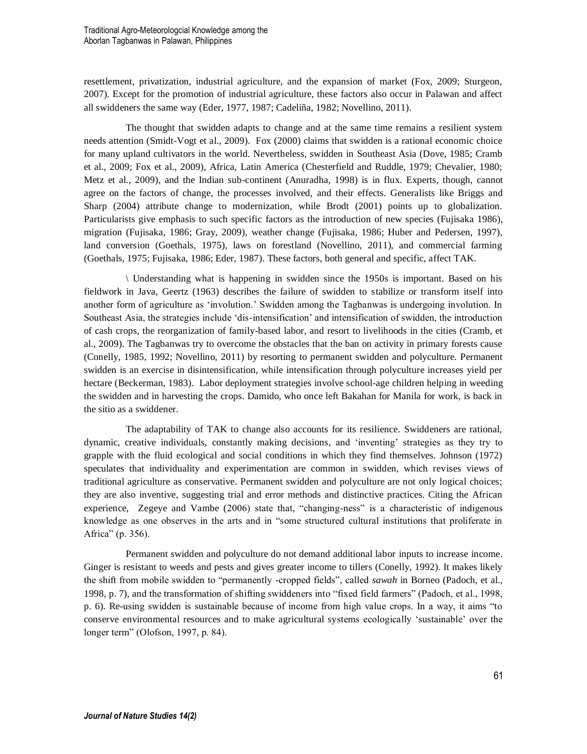resettlement, privatization, industrial agriculture, and the expansion of market (Fox, 2009; Sturgeon, 2007). Except for the promotion of industrial agriculture, these factors also occur in Palawan and affect all swiddeners the same way (Eder, 1977, 1987; Cadeliña, 1982; Novellino, 2011).

The thought that swidden adapts to change and at the same time remains a resilient system needs attention (Smidt-Vogt et al., 2009). Fox (2000) claims that swidden is a rational economic choice for many upland cultivators in the world. Nevertheless, swidden in Southeast Asia (Dove, 1985; Cramb et al., 2009; Fox et al., 2009), Africa, Latin America (Chesterfield and Ruddle, 1979; Chevalier, 1980; Metz et al., 2009), and the Indian sub-continent (Anuradha, 1998) is in flux. Experts, though, cannot agree on the factors of change, the processes involved, and their effects. Generalists like Briggs and Sharp (2004) attribute change to modernization, while Brodt (2001) points up to globalization. Particularists give emphasis to such specific factors as the introduction of new species (Fujisaka 1986), migration (Fujisaka, 1986; Gray, 2009), weather change (Fujisaka, 1986; Huber and Pedersen, 1997), land conversion (Goethals, 1975), laws on forestland (Novellino, 2011), and commercial farming (Goethals, 1975; Fujisaka, 1986; Eder, 1987). These factors, both general and specific, affect TAK.

\ Understanding what is happening in swidden since the 1950s is important. Based on his fieldwork in Java, Geertz (1963) describes the failure of swidden to stabilize or transform itself into another form of agriculture as 'involution.' Swidden among the Tagbanwas is undergoing involution. In Southeast Asia, the strategies include 'dis-intensification' and intensification of swidden, the introduction of cash crops, the reorganization of family-based labor, and resort to livelihoods in the cities (Cramb, et al., 2009). The Tagbanwas try to overcome the obstacles that the ban on activity in primary forests cause (Conelly, 1985, 1992; Novellino, 2011) by resorting to permanent swidden and polyculture. Permanent swidden is an exercise in disintensification, while intensification through polyculture increases yield per hectare (Beckerman, 1983). Labor deployment strategies involve school-age children helping in weeding the swidden and in harvesting the crops. Damido, who once left Bakahan for Manila for work, is back in the sitio as a swiddener.

The adaptability of TAK to change also accounts for its resilience. Swiddeners are rational, dynamic, creative individuals, constantly making decisions, and 'inventing' strategies as they try to grapple with the fluid ecological and social conditions in which they find themselves. Johnson (1972) speculates that individuality and experimentation are common in swidden, which revises views of traditional agriculture as conservative. Permanent swidden and polyculture are not only logical choices; they are also inventive, suggesting trial and error methods and distinctive practices. Citing the African experience, Zegeye and Vambe (2006) state that, "changing-ness" is a characteristic of indigenous knowledge as one observes in the arts and in "some structured cultural institutions that proliferate in Africa" (p. 356).

Permanent swidden and polyculture do not demand additional labor inputs to increase income. Ginger is resistant to weeds and pests and gives greater income to tillers (Conelly, 1992). It makes likely the shift from mobile swidden to "permanently -cropped fields", called *sawah* in Borneo (Padoch, et al., 1998, p. 7), and the transformation of shifting swiddeners into "fixed field farmers" (Padoch, et al., 1998, p. 6). Re-using swidden is sustainable because of income from high value crops. In a way, it aims "to conserve environmental resources and to make agricultural systems ecologically 'sustainable' over the longer term" (Olofson, 1997, p. 84).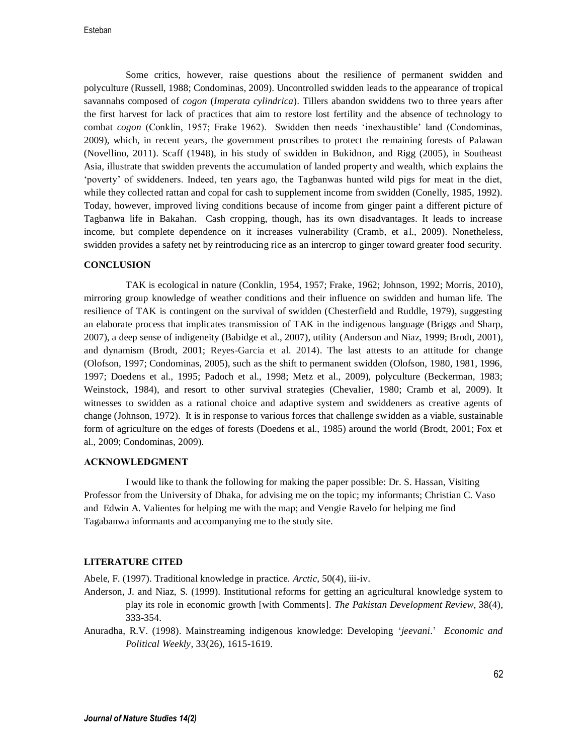Esteban

Some critics, however, raise questions about the resilience of permanent swidden and polyculture (Russell, 1988; Condominas, 2009). Uncontrolled swidden leads to the appearance of tropical savannahs composed of *cogon* (*Imperata cylindrica*). Tillers abandon swiddens two to three years after the first harvest for lack of practices that aim to restore lost fertility and the absence of technology to combat *cogon* (Conklin, 1957; Frake 1962). Swidden then needs 'inexhaustible' land (Condominas, 2009), which, in recent years, the government proscribes to protect the remaining forests of Palawan (Novellino, 2011). Scaff (1948), in his study of swidden in Bukidnon, and Rigg (2005), in Southeast Asia, illustrate that swidden prevents the accumulation of landed property and wealth, which explains the 'poverty' of swiddeners. Indeed, ten years ago, the Tagbanwas hunted wild pigs for meat in the diet, while they collected rattan and copal for cash to supplement income from swidden (Conelly, 1985, 1992). Today, however, improved living conditions because of income from ginger paint a different picture of Tagbanwa life in Bakahan. Cash cropping, though, has its own disadvantages. It leads to increase income, but complete dependence on it increases vulnerability (Cramb, et al., 2009). Nonetheless, swidden provides a safety net by reintroducing rice as an intercrop to ginger toward greater food security.

## **CONCLUSION**

TAK is ecological in nature (Conklin, 1954, 1957; Frake, 1962; Johnson, 1992; Morris, 2010), mirroring group knowledge of weather conditions and their influence on swidden and human life. The resilience of TAK is contingent on the survival of swidden (Chesterfield and Ruddle, 1979), suggesting an elaborate process that implicates transmission of TAK in the indigenous language (Briggs and Sharp, 2007), a deep sense of indigeneity (Babidge et al., 2007), utility (Anderson and Niaz, 1999; Brodt, 2001), and dynamism (Brodt, 2001; Reyes-Garcia et al. 2014). The last attests to an attitude for change (Olofson, 1997; Condominas, 2005), such as the shift to permanent swidden (Olofson, 1980, 1981, 1996, 1997; Doedens et al., 1995; Padoch et al., 1998; Metz et al., 2009), polyculture (Beckerman, 1983; Weinstock, 1984), and resort to other survival strategies (Chevalier, 1980; Cramb et al, 2009). It witnesses to swidden as a rational choice and adaptive system and swiddeners as creative agents of change (Johnson, 1972). It is in response to various forces that challenge swidden as a viable, sustainable form of agriculture on the edges of forests (Doedens et al., 1985) around the world (Brodt, 2001; Fox et al., 2009; Condominas, 2009).

#### **ACKNOWLEDGMENT**

I would like to thank the following for making the paper possible: Dr. S. Hassan, Visiting Professor from the University of Dhaka, for advising me on the topic; my informants; Christian C. Vaso and Edwin A. Valientes for helping me with the map; and Vengie Ravelo for helping me find Tagabanwa informants and accompanying me to the study site.

#### **LITERATURE CITED**

Abele, F. (1997). Traditional knowledge in practice. *Arctic*, 50(4), iii-iv.

- Anderson, J. and Niaz, S. (1999). Institutional reforms for getting an agricultural knowledge system to play its role in economic growth [with Comments]. *The Pakistan Development Review*, 38(4), 333-354.
- Anuradha, R.V. (1998). Mainstreaming indigenous knowledge: Developing '*jeevani*.' *Economic and Political Weekly*, 33(26), 1615-1619.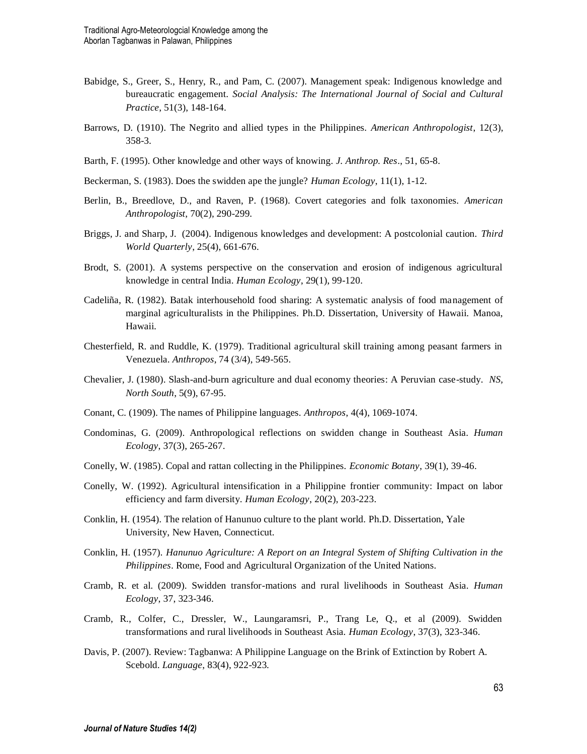- Babidge, S., Greer, S., Henry, R., and Pam, C. (2007). Management speak: Indigenous knowledge and bureaucratic engagement. *Social Analysis: The International Journal of Social and Cultural Practice*, 51(3), 148-164.
- Barrows, D. (1910). The Negrito and allied types in the Philippines. *American Anthropologist*, 12(3), 358-3.
- Barth, F. (1995). Other knowledge and other ways of knowing*. J. Anthrop. Res*., 51, 65-8.
- Beckerman, S. (1983). Does the swidden ape the jungle? *Human Ecology*, 11(1), 1-12.
- Berlin, B., Breedlove, D., and Raven, P. (1968). Covert categories and folk taxonomies. *American Anthropologist*, 70(2), 290-299.
- Briggs, J. and Sharp, J. (2004). Indigenous knowledges and development: A postcolonial caution. *Third World Quarterly*, 25(4), 661-676.
- Brodt, S. (2001). A systems perspective on the conservation and erosion of indigenous agricultural knowledge in central India. *Human Ecology*, 29(1), 99-120.
- Cadeliña, R. (1982). Batak interhousehold food sharing: A systematic analysis of food management of marginal agriculturalists in the Philippines. Ph.D. Dissertation, University of Hawaii. Manoa, Hawaii.
- Chesterfield, R. and Ruddle, K. (1979). Traditional agricultural skill training among peasant farmers in Venezuela. *Anthropos*, 74 (3/4), 549-565.
- Chevalier, J. (1980). Slash-and-burn agriculture and dual economy theories: A Peruvian case-study. *NS, North South*, 5(9), 67-95.
- Conant, C. (1909). The names of Philippine languages. *Anthropos*, 4(4), 1069-1074.
- Condominas, G. (2009). Anthropological reflections on swidden change in Southeast Asia. *Human Ecology*, 37(3), 265-267.
- Conelly, W. (1985). Copal and rattan collecting in the Philippines. *Economic Botany*, 39(1), 39-46.
- Conelly, W. (1992). Agricultural intensification in a Philippine frontier community: Impact on labor efficiency and farm diversity. *Human Ecology*, 20(2), 203-223.
- Conklin, H. (1954). The relation of Hanunuo culture to the plant world. Ph.D. Dissertation, Yale University, New Haven, Connecticut.
- Conklin, H. (1957). *Hanunuo Agriculture: A Report on an Integral System of Shifting Cultivation in the Philippines*. Rome, Food and Agricultural Organization of the United Nations.
- Cramb, R. et al. (2009). Swidden transfor-mations and rural livelihoods in Southeast Asia. *Human Ecology*, 37, 323-346.
- Cramb, R., Colfer, C., Dressler, W., Laungaramsri, P., Trang Le, Q., et al (2009). Swidden transformations and rural livelihoods in Southeast Asia. *Human Ecology*, 37(3), 323-346.
- Davis, P. (2007). Review: Tagbanwa: A Philippine Language on the Brink of Extinction by Robert A. Scebold. *Language*, 83(4), 922-923.

63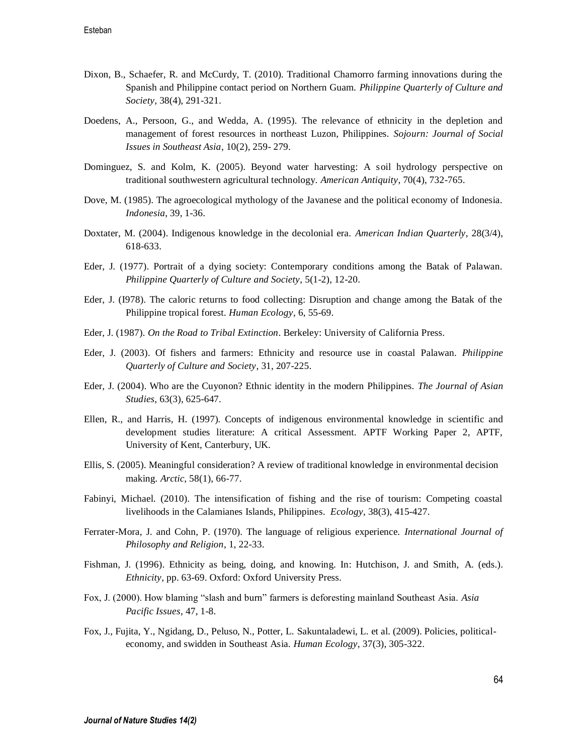- Dixon, B., Schaefer, R. and McCurdy, T. (2010). Traditional Chamorro farming innovations during the Spanish and Philippine contact period on Northern Guam. *Philippine Quarterly of Culture and Society*, 38(4), 291-321.
- Doedens, A., Persoon, G., and Wedda, A. (1995). The relevance of ethnicity in the depletion and management of forest resources in northeast Luzon, Philippines. *Sojourn: Journal of Social Issues in Southeast Asia*, 10(2), 259- 279.
- Dominguez, S. and Kolm, K. (2005). Beyond water harvesting: A soil hydrology perspective on traditional southwestern agricultural technology. *American Antiquity*, 70(4), 732-765.
- Dove, M. (1985). The agroecological mythology of the Javanese and the political economy of Indonesia. *Indonesia*, 39, 1-36.
- Doxtater, M. (2004). Indigenous knowledge in the decolonial era. *American Indian Quarterly*, 28(3/4), 618-633.
- Eder, J. (1977). Portrait of a dying society: Contemporary conditions among the Batak of Palawan. *Philippine Quarterly of Culture and Society*, 5(1-2), 12-20.
- Eder, J. (I978). The caloric returns to food collecting: Disruption and change among the Batak of the Philippine tropical forest. *Human Ecology*, 6, 55-69.
- Eder, J. (1987). *On the Road to Tribal Extinction*. Berkeley: University of California Press.
- Eder, J. (2003). Of fishers and farmers: Ethnicity and resource use in coastal Palawan. *Philippine Quarterly of Culture and Society*, 31, 207-225.
- Eder, J. (2004). Who are the Cuyonon? Ethnic identity in the modern Philippines. *The Journal of Asian Studies*, 63(3), 625-647.
- Ellen, R., and Harris, H. (1997). Concepts of indigenous environmental knowledge in scientific and development studies literature: A critical Assessment. APTF Working Paper 2, APTF, University of Kent, Canterbury, UK.
- Ellis, S. (2005). Meaningful consideration? A review of traditional knowledge in environmental decision making. *Arctic*, 58(1), 66-77.
- Fabinyi, Michael. (2010). The intensification of fishing and the rise of tourism: Competing coastal livelihoods in the Calamianes Islands, Philippines. *Ecology*, 38(3), 415-427.
- Ferrater-Mora, J. and Cohn, P. (1970). The language of religious experience. *International Journal of Philosophy and Religion*, 1, 22-33.
- Fishman, J. (1996). Ethnicity as being, doing, and knowing. In: Hutchison, J. and Smith, A. (eds.). *Ethnicity*, pp. 63-69. Oxford: Oxford University Press.
- Fox, J. (2000). How blaming "slash and burn" farmers is deforesting mainland Southeast Asia. *Asia Pacific Issues*, 47, 1-8.
- Fox, J., Fujita, Y., Ngidang, D., Peluso, N., Potter, L. Sakuntaladewi, L. et al. (2009). Policies, politicaleconomy, and swidden in Southeast Asia. *Human Ecology*, 37(3), 305-322.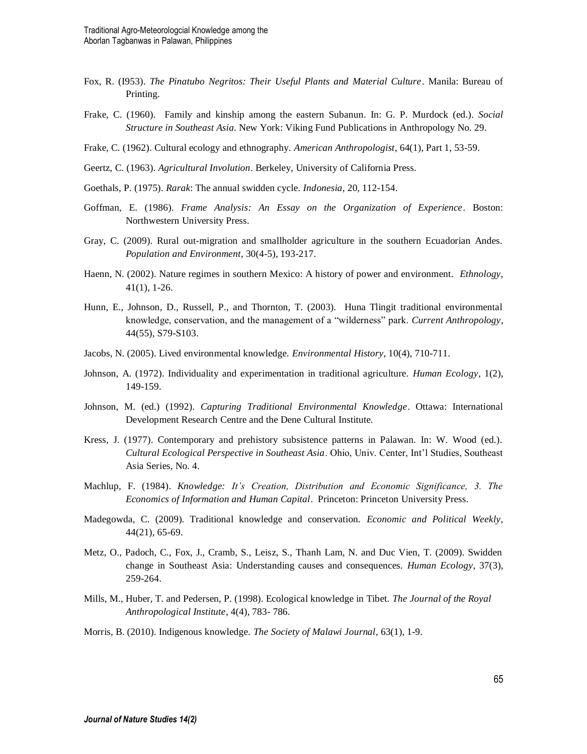- Fox, R. (I953). *The Pinatubo Negritos: Their Useful Plants and Material Culture*. Manila: Bureau of Printing.
- Frake, C. (1960). Family and kinship among the eastern Subanun*.* In: G. P. Murdock (ed.). *Social Structure in Southeast Asia*. New York: Viking Fund Publications in Anthropology No. 29.
- Frake, C. (1962). Cultural ecology and ethnography. *American Anthropologist*, 64(1), Part 1, 53-59.
- Geertz, C. (1963). *Agricultural Involution*. Berkeley, University of California Press.
- Goethals, P. (1975). *Rarak*: The annual swidden cycle. *Indonesia*, 20, 112-154.
- Goffman, E. (1986). *Frame Analysis: An Essay on the Organization of Experience*. Boston: Northwestern University Press.
- Gray, C. (2009). Rural out-migration and smallholder agriculture in the southern Ecuadorian Andes. *Population and Environment*, 30(4-5), 193-217.
- Haenn, N. (2002). Nature regimes in southern Mexico: A history of power and environment. *Ethnology*, 41(1), 1-26.
- Hunn, E., Johnson, D., Russell, P., and Thornton, T. (2003). Huna Tlingit traditional environmental knowledge, conservation, and the management of a "wilderness" park. *Current Anthropology*, 44(55), S79-S103.
- Jacobs, N. (2005). Lived environmental knowledge. *Environmental History*, 10(4), 710-711.
- Johnson, A. (1972). Individuality and experimentation in traditional agriculture. *Human Ecology*, 1(2), 149-159.
- Johnson, M. (ed.) (1992). *Capturing Traditional Environmental Knowledge*. Ottawa: International Development Research Centre and the Dene Cultural Institute.
- Kress, J. (1977). Contemporary and prehistory subsistence patterns in Palawan. In: W. Wood (ed.). *Cultural Ecological Perspective in Southeast Asia*. Ohio, Univ. Center, Int'l Studies, Southeast Asia Series, No. 4.
- Machlup, F. (1984). *Knowledge: It's Creation, Distribution and Economic Significance, 3. The Economics of Information and Human Capital*. Princeton: Princeton University Press.
- Madegowda, C. (2009). Traditional knowledge and conservation. *Economic and Political Weekly*, 44(21), 65-69.
- Metz, O., Padoch, C., Fox, J., Cramb, S., Leisz, S., Thanh Lam, N. and Duc Vien, T. (2009). Swidden change in Southeast Asia: Understanding causes and consequences. *Human Ecology*, 37(3), 259-264.
- Mills, M., Huber, T. and Pedersen, P. (1998). Ecological knowledge in Tibet. *The Journal of the Royal Anthropological Institute*, 4(4), 783- 786.
- Morris, B. (2010). Indigenous knowledge. *The Society of Malawi Journal*, 63(1), 1-9.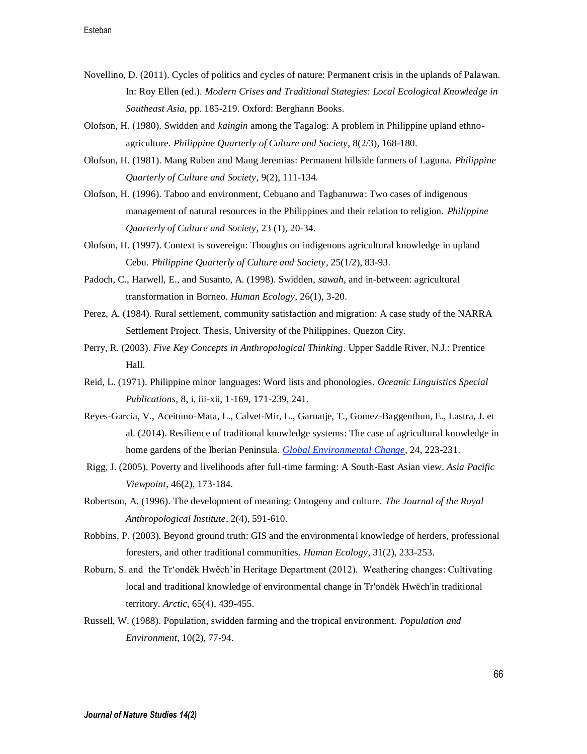- Novellino, D. (2011). Cycles of politics and cycles of nature: Permanent crisis in the uplands of Palawan. In: Roy Ellen (ed.). *Modern Crises and Traditional Stategies: Local Ecological Knowledge in Southeast Asia*, pp. 185-219. Oxford: Berghann Books.
- Olofson, H. (1980). Swidden and *kaingin* among the Tagalog: A problem in Philippine upland ethnoagriculture. *Philippine Quarterly of Culture and Society*, 8(2/3), 168-180.
- Olofson, H. (1981). Mang Ruben and Mang Jeremias: Permanent hillside farmers of Laguna. *Philippine Quarterly of Culture and Society*, 9(2), 111-134.
- Olofson, H. (1996). Taboo and environment, Cebuano and Tagbanuwa: Two cases of indigenous management of natural resources in the Philippines and their relation to religion. *Philippine Quarterly of Culture and Society*, 23 (1), 20-34.
- Olofson, H. (1997). Context is sovereign: Thoughts on indigenous agricultural knowledge in upland Cebu. *Philippine Quarterly of Culture and Society*, 25(1/2), 83-93.
- Padoch, C., Harwell, E., and Susanto, A. (1998). Swidden, *sawah*, and in-between: agricultural transformation in Borneo. *Human Ecology*, 26(1), 3-20.
- Perez, A. (1984). Rural settlement, community satisfaction and migration: A case study of the NARRA Settlement Project. Thesis, University of the Philippines. Quezon City.
- Perry, R. (2003). *Five Key Concepts in Anthropological Thinking*. Upper Saddle River, N.J.: Prentice Hall.
- Reid, L. (1971). Philippine minor languages: Word lists and phonologies. *Oceanic Linguistics Special Publications,* 8, i, iii-xii, 1-169, 171-239, 241.
- Reyes-Garcia, V., Aceituno-Mata, L., Calvet-Mir, L., Garnatje, T., Gomez-Baggenthun, E., Lastra, J. et al. (2014). Resilience of traditional knowledge systems: The case of agricultural knowledge in home gardens of the Iberian Peninsula. *Global Environmental Change*, 24, 223-231.
- Rigg, J. (2005). Poverty and livelihoods after full-time farming: A South-East Asian view. *Asia Pacific Viewpoint*, 46(2), 173-184.
- Robertson, A. (1996). The development of meaning: Ontogeny and culture. *The Journal of the Royal Anthropological Institute*, 2(4), 591-610.
- Robbins, P. (2003). Beyond ground truth: GIS and the environmental knowledge of herders, professional foresters, and other traditional communities. *Human Ecology*, 31(2), 233-253.
- Roburn, S. and the Tr'ondëk Hwëch'in Heritage Department (2012). Weathering changes: Cultivating local and traditional knowledge of environmental change in Tr'ondëk Hwëch'in traditional territory. *Arctic*, 65(4), 439-455.
- Russell, W. (1988). Population, swidden farming and the tropical environment. *Population and Environment*, 10(2), 77-94.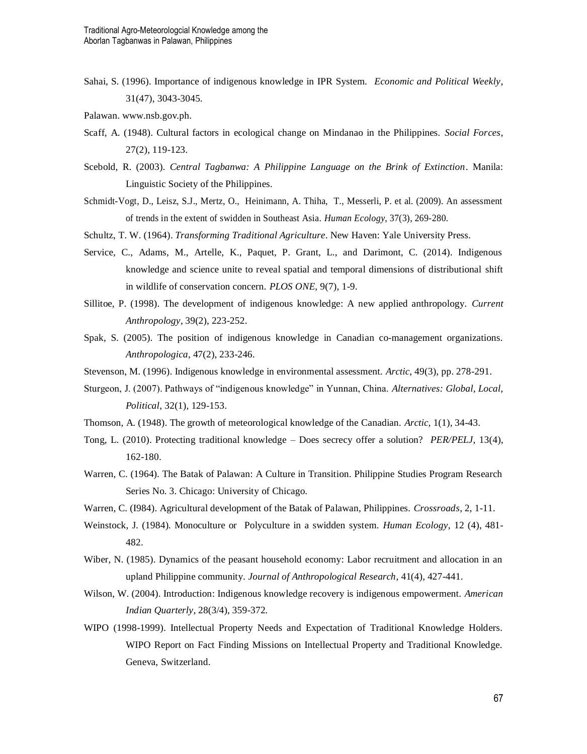Sahai, S. (1996). Importance of indigenous knowledge in IPR System. *Economic and Political Weekly*, 31(47), 3043-3045.

Palawan. www.nsb.gov.ph.

- Scaff, A. (1948). Cultural factors in ecological change on Mindanao in the Philippines. *Social Forces*, 27(2), 119-123.
- Scebold, R. (2003). *Central Tagbanwa: A Philippine Language on the Brink of Extinction*. Manila: Linguistic Society of the Philippines.
- Schmidt-Vogt, D., Leisz, S.J., Mertz, O., Heinimann, A. Thiha, T., Messerli, P. et al. (2009). An assessment of trends in the extent of swidden in Southeast Asia. *Human Ecology*, 37(3), 269-280.
- Schultz, T. W. (1964). *Transforming Traditional Agriculture*. New Haven: Yale University Press.
- Service, C., Adams, M., Artelle, K., Paquet, P. Grant, L., and Darimont, C. (2014). Indigenous knowledge and science unite to reveal spatial and temporal dimensions of distributional shift in wildlife of conservation concern. *PLOS ONE*, 9(7), 1-9.
- Sillitoe, P. (1998). The development of indigenous knowledge: A new applied anthropology. *Current Anthropology*, 39(2), 223-252.
- Spak, S. (2005). The position of indigenous knowledge in Canadian co-management organizations. *Anthropologica*, 47(2), 233-246.
- Stevenson, M. (1996). Indigenous knowledge in environmental assessment. *Arctic*, 49(3), pp. 278-291.
- Sturgeon, J. (2007). Pathways of "indigenous knowledge" in Yunnan, China. *Alternatives: Global, Local, Political*, 32(1), 129-153.
- Thomson, A. (1948). The growth of meteorological knowledge of the Canadian. *Arctic*, 1(1), 34-43.
- Tong, L. (2010). Protecting traditional knowledge Does secrecy offer a solution? *PER/PELJ*, 13(4), 162-180.
- Warren, C. (1964). The Batak of Palawan: A Culture in Transition. Philippine Studies Program Research Series No. 3. Chicago: University of Chicago.
- Warren, C. (I984). Agricultural development of the Batak of Palawan, Philippines. *Crossroads*, 2, 1-11.
- Weinstock, J. (1984). Monoculture or Polyculture in a swidden system. *Human Ecology*, 12 (4), 481- 482.
- Wiber, N. (1985). Dynamics of the peasant household economy: Labor recruitment and allocation in an upland Philippine community. *Journal of Anthropological Research*, 41(4), 427-441.
- Wilson, W. (2004). Introduction: Indigenous knowledge recovery is indigenous empowerment. *American Indian Quarterly*, 28(3/4), 359-372.
- WIPO (1998-1999). Intellectual Property Needs and Expectation of Traditional Knowledge Holders. WIPO Report on Fact Finding Missions on Intellectual Property and Traditional Knowledge. Geneva, Switzerland.